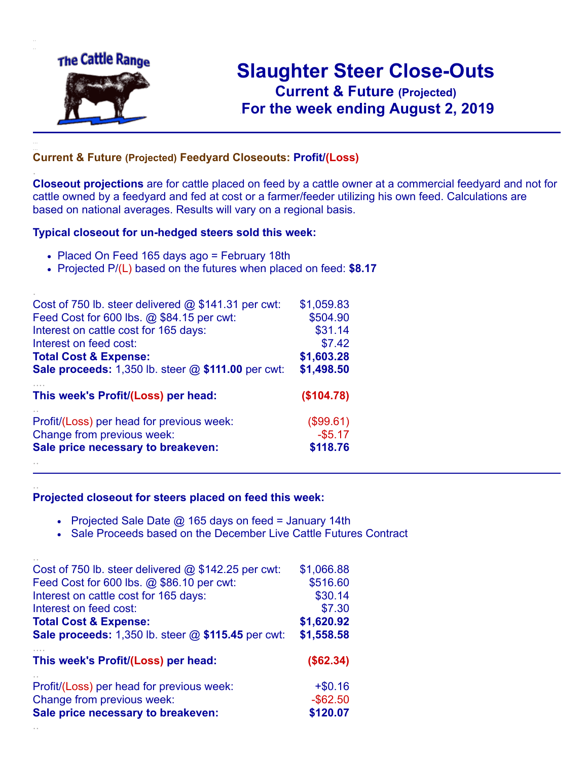

.

..

..

# **Slaughter Steer Close-Outs Current & Future (Projected)** .**For the week ending August 2, 2019**

#### **Current & Future (Projected) Feedyard Closeouts: Profit/(Loss)**

**Closeout projections** are for cattle placed on feed by a cattle owner at a commercial feedyard and not for cattle owned by a feedyard and fed at cost or a farmer/feeder utilizing his own feed. Calculations are based on national averages. Results will vary on a regional basis.

#### **Typical closeout for un-hedged steers sold this week:**

- Placed On Feed 165 days ago = February 18th
- Projected P/(L) based on the futures when placed on feed: **\$8.17**

| Cost of 750 lb. steer delivered $@$ \$141.31 per cwt:       | \$1,059.83 |
|-------------------------------------------------------------|------------|
| Feed Cost for 600 lbs. @ \$84.15 per cwt:                   | \$504.90   |
| Interest on cattle cost for 165 days:                       | \$31.14    |
| Interest on feed cost:                                      | \$7.42     |
| <b>Total Cost &amp; Expense:</b>                            | \$1,603.28 |
| <b>Sale proceeds:</b> 1,350 lb. steer $@$ \$111.00 per cwt: | \$1,498.50 |
| This week's Profit/(Loss) per head:                         | (\$104.78) |
| Profit/(Loss) per head for previous week:                   | (\$99.61)  |
| Change from previous week:                                  | $-$ \$5.17 |
| Sale price necessary to breakeven:                          | \$118.76   |
|                                                             |            |

#### **Projected closeout for steers placed on feed this week:**

- Projected Sale Date  $@$  165 days on feed = January 14th
- Sale Proceeds based on the December Live Cattle Futures Contract

| Cost of 750 lb. steer delivered $@$ \$142.25 per cwt: | \$1,066.88  |
|-------------------------------------------------------|-------------|
| Feed Cost for 600 lbs. @ \$86.10 per cwt:             | \$516.60    |
| Interest on cattle cost for 165 days:                 | \$30.14     |
| Interest on feed cost:                                | \$7.30      |
| <b>Total Cost &amp; Expense:</b>                      | \$1,620.92  |
| Sale proceeds: 1,350 lb. steer @ \$115.45 per cwt:    | \$1,558.58  |
|                                                       |             |
| This week's Profit/(Loss) per head:                   | (\$62.34)   |
| Profit/(Loss) per head for previous week:             | $+ $0.16$   |
| Change from previous week:                            | $-$ \$62.50 |
| Sale price necessary to breakeven:                    | \$120.07    |